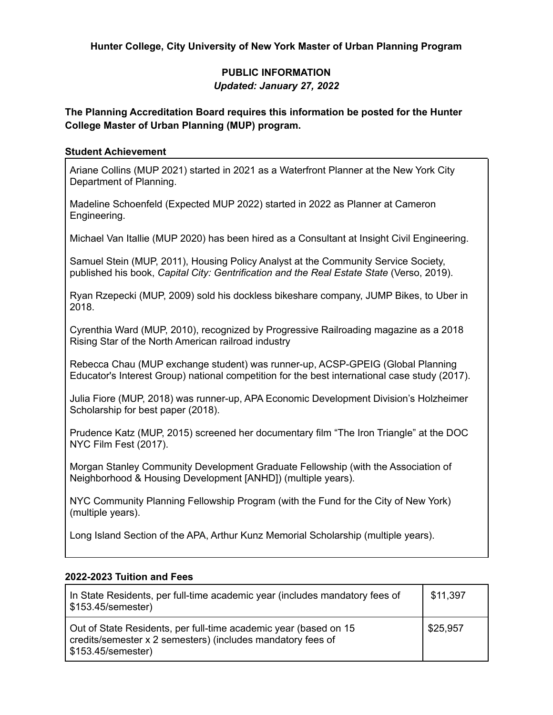**Hunter College, City University of New York Master of Urban Planning Program**

## **PUBLIC INFORMATION** *Updated: January 27, 2022*

## **The Planning Accreditation Board requires this information be posted for the Hunter College Master of Urban Planning (MUP) program.**

### **Student Achievement**

Ariane Collins (MUP 2021) started in 2021 as a Waterfront Planner at the New York City Department of Planning.

Madeline Schoenfeld (Expected MUP 2022) started in 2022 as Planner at Cameron Engineering.

Michael Van Itallie (MUP 2020) has been hired as a Consultant at Insight Civil Engineering.

Samuel Stein (MUP, 2011), Housing Policy Analyst at the Community Service Society, published his book, *Capital City: Gentrification and the Real Estate State* (Verso, 2019).

Ryan Rzepecki (MUP, 2009) sold his dockless bikeshare company, JUMP Bikes, to Uber in 2018.

Cyrenthia Ward (MUP, 2010), recognized by Progressive Railroading magazine as a 2018 Rising Star of the North American railroad industry

Rebecca Chau (MUP exchange student) was runner-up, ACSP-GPEIG (Global Planning Educator's Interest Group) national competition for the best international case study (2017).

Julia Fiore (MUP, 2018) was runner-up, APA Economic Development Division's Holzheimer Scholarship for best paper (2018).

Prudence Katz (MUP, 2015) screened her documentary film "The Iron Triangle" at the DOC NYC Film Fest (2017).

Morgan Stanley Community Development Graduate Fellowship (with the Association of Neighborhood & Housing Development [ANHD]) (multiple years).

NYC Community Planning Fellowship Program (with the Fund for the City of New York) (multiple years).

Long Island Section of the APA, Arthur Kunz Memorial Scholarship (multiple years).

#### **2022-2023 Tuition and Fees**

| In State Residents, per full-time academic year (includes mandatory fees of<br>\$153.45/semester)                                                       | \$11,397 |
|---------------------------------------------------------------------------------------------------------------------------------------------------------|----------|
| Out of State Residents, per full-time academic year (based on 15<br>credits/semester x 2 semesters) (includes mandatory fees of<br>  \$153.45/semester) | \$25,957 |